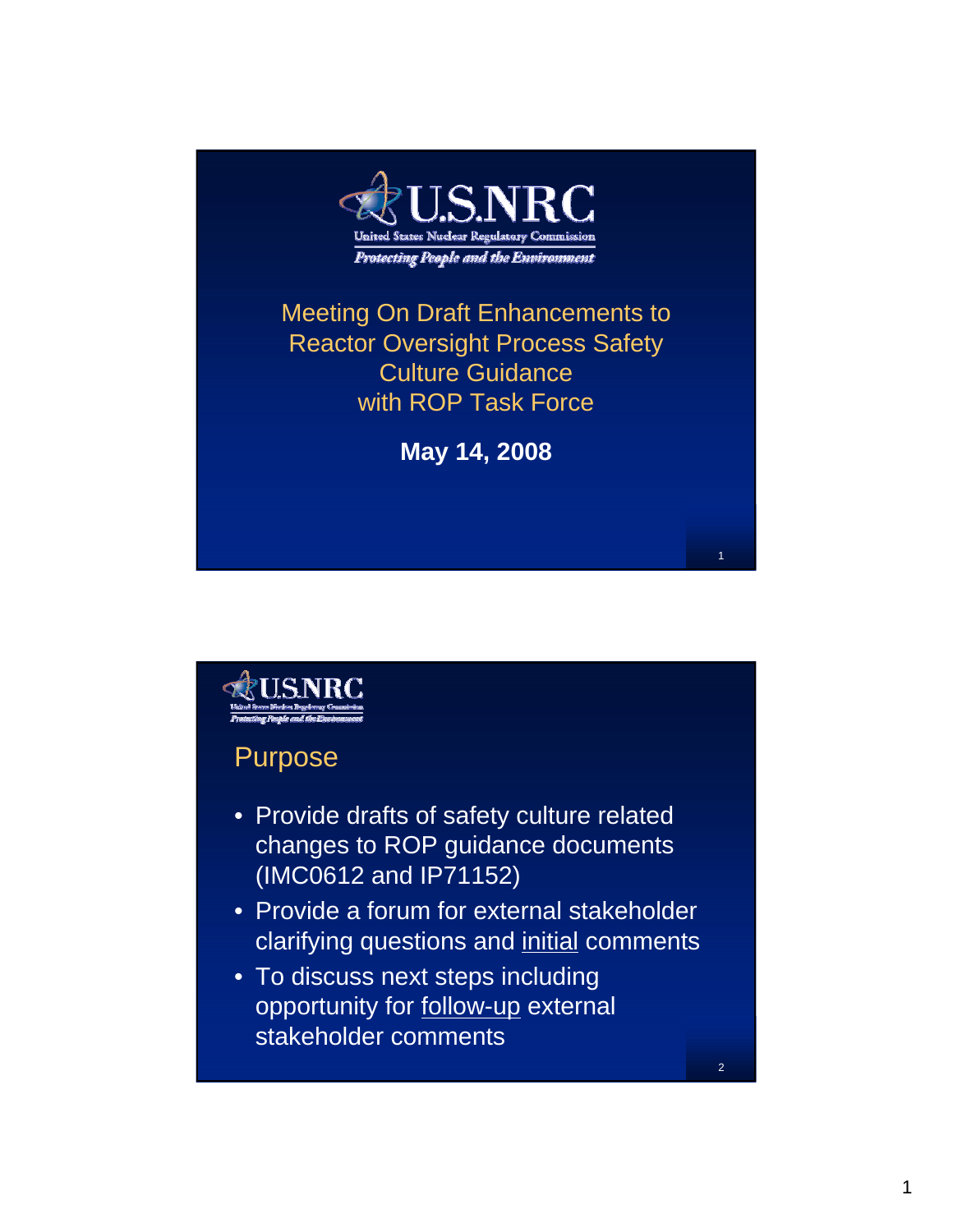

Meeting On Draft Enhancements to Reactor Oversight Process Safety Culture Guidance with ROP Task Force

**May 14, 2008**

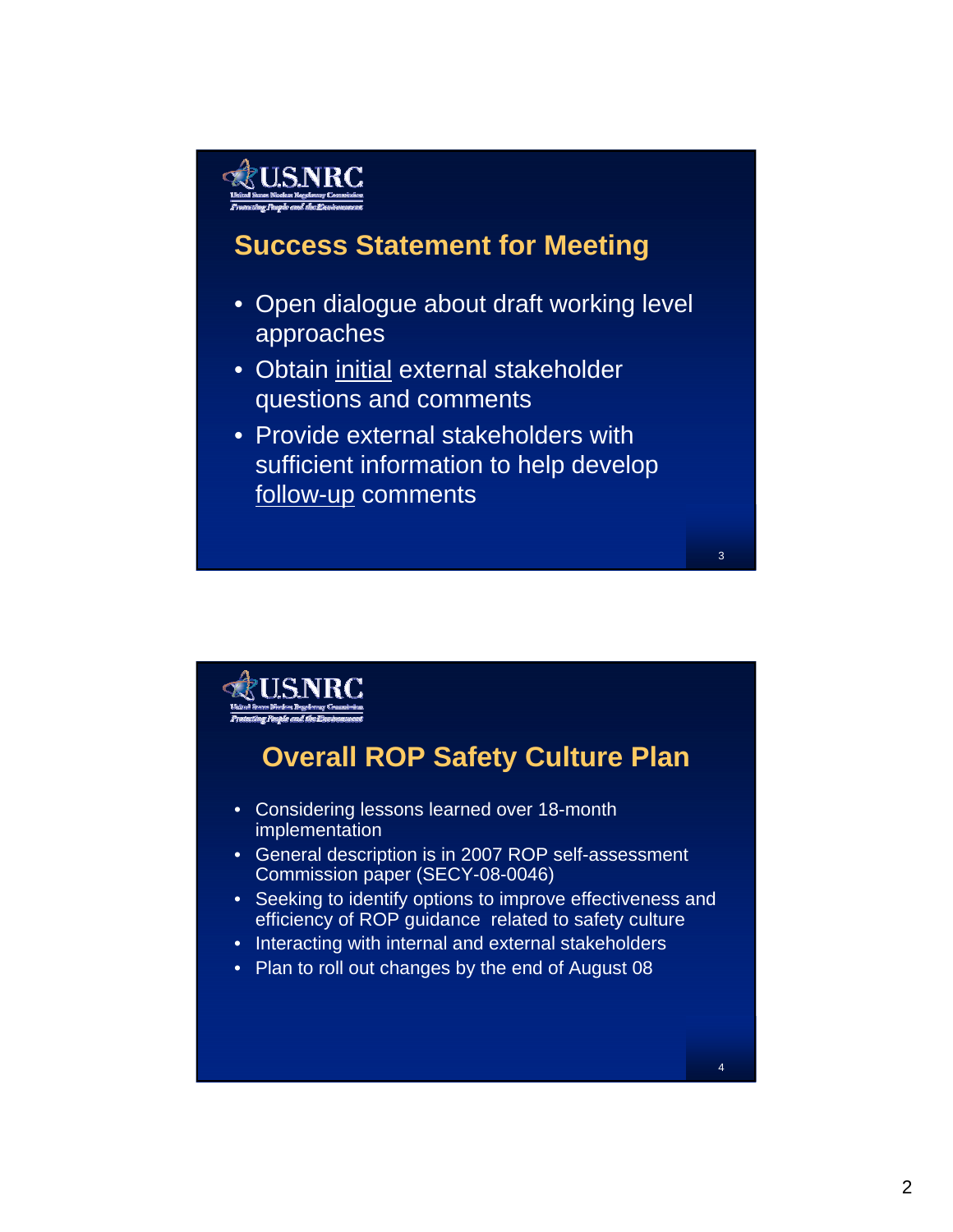### **Success Statement for Meeting**

- Open dialogue about draft working level approaches
- Obtain initial external stakeholder questions and comments
- Provide external stakeholders with sufficient information to help develop follow-up comments

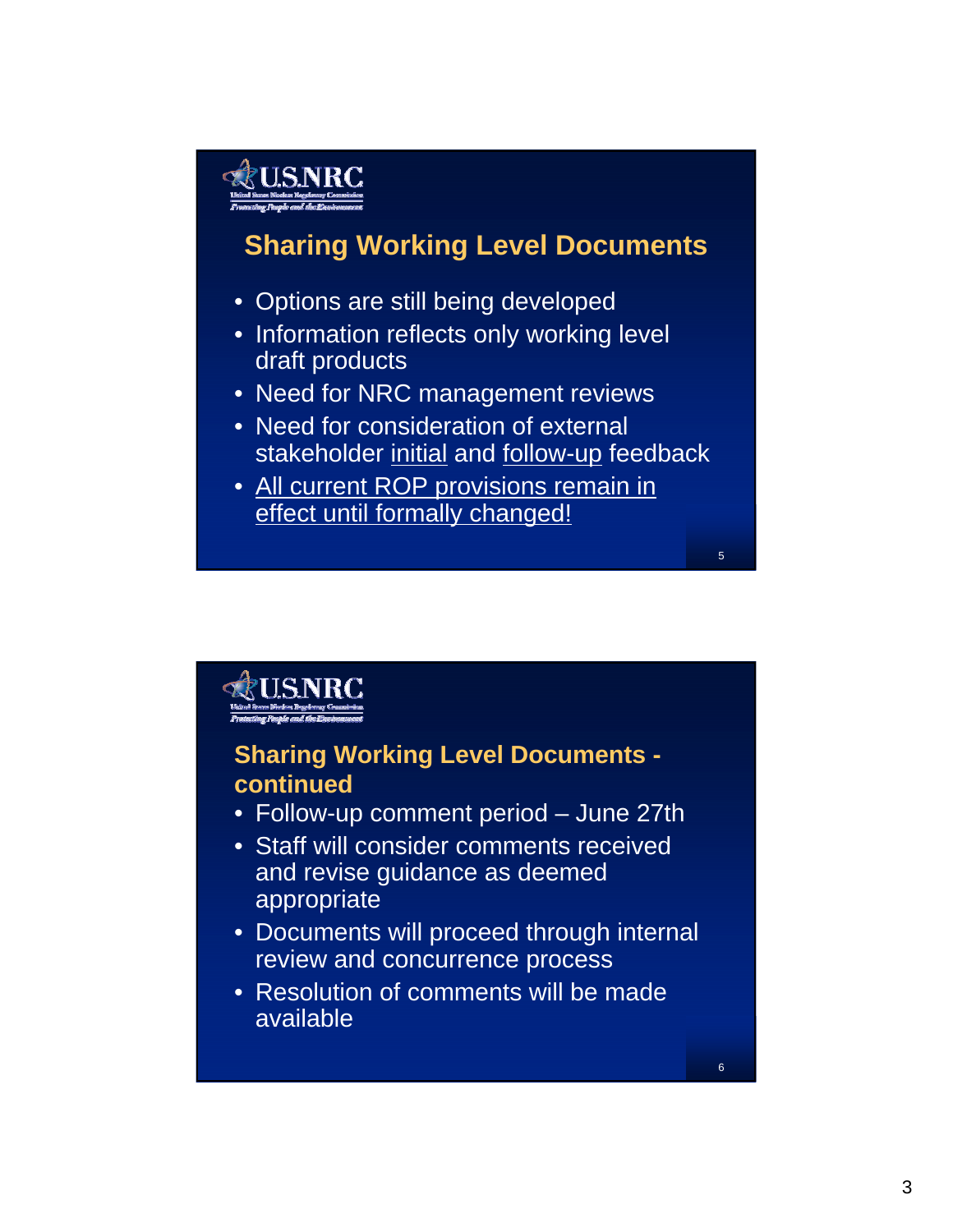### **Sharing Working Level Documents**

- Options are still being developed
- Information reflects only working level draft products
- Need for NRC management reviews
- Need for consideration of external stakeholder initial and follow-up feedback
- All current ROP provisions remain in effect until formally changed!



6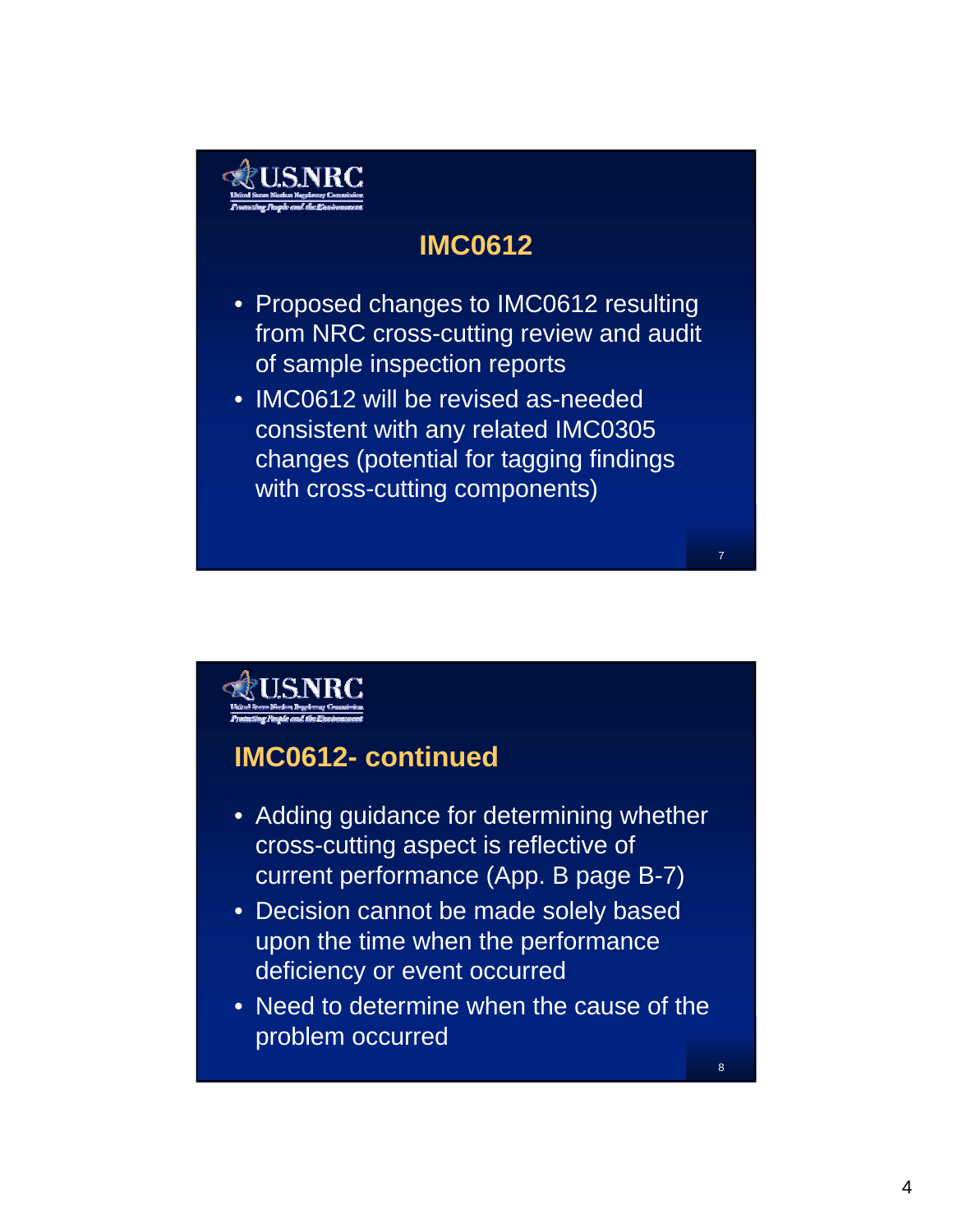

### **IMC0612**

- Proposed changes to IMC0612 resulting from NRC cross-cutting review and audit of sample inspection reports
- IMC0612 will be revised as-needed consistent with any related IMC0305 changes (potential for tagging findings with cross-cutting components)



#### **IMC0612- continued**

- Adding guidance for determining whether cross-cutting aspect is reflective of current performance (App. B page B-7)
- Decision cannot be made solely based upon the time when the performance deficiency or event occurred
- Need to determine when the cause of the problem occurred

8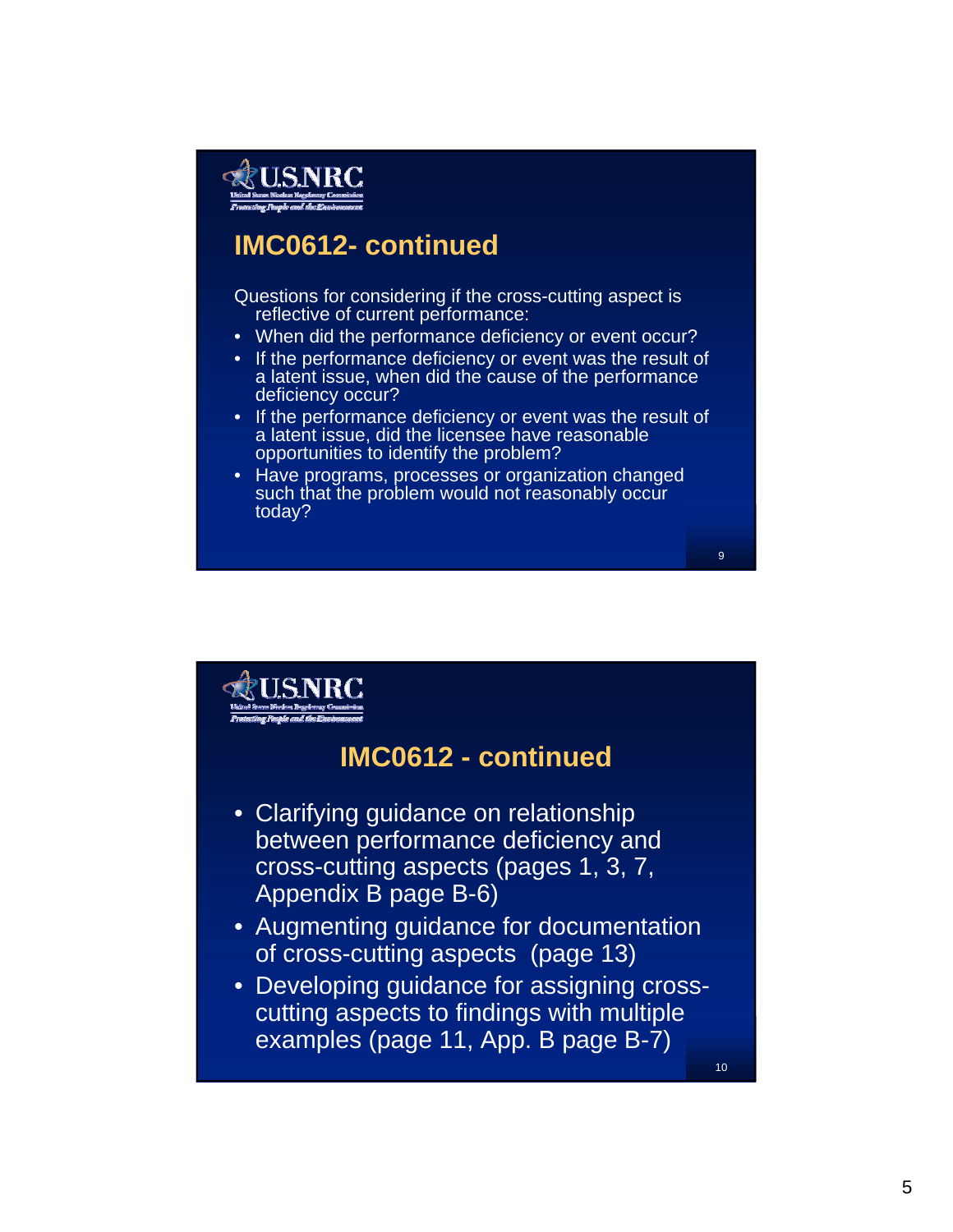

#### **IMC0612- continued**

Questions for considering if the cross-cutting aspect is reflective of current performance:

- When did the performance deficiency or event occur?
- If the performance deficiency or event was the result of a latent issue, when did the cause of the performance deficiency occur?
- If the performance deficiency or event was the result of a latent issue, did the licensee have reasonable opportunities to identify the problem?

9

• Have programs, processes or organization changed such that the problem would not reasonably occur today?

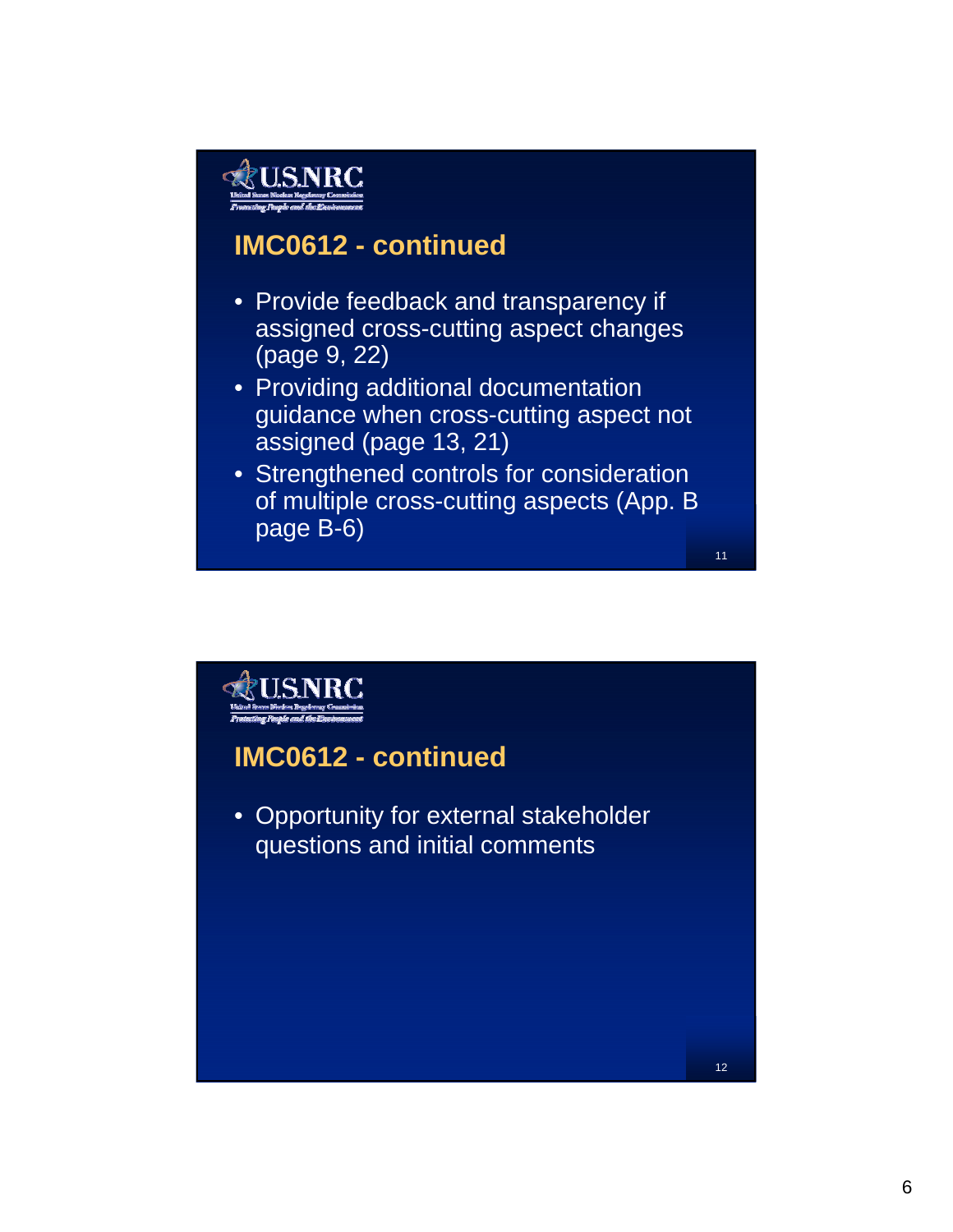### **IMC0612 - continued**

- Provide feedback and transparency if assigned cross-cutting aspect changes (page 9, 22)
- Providing additional documentation guidance when cross-cutting aspect not assigned (page 13, 21)
- Strengthened controls for consideration of multiple cross-cutting aspects (App. B page B-6)

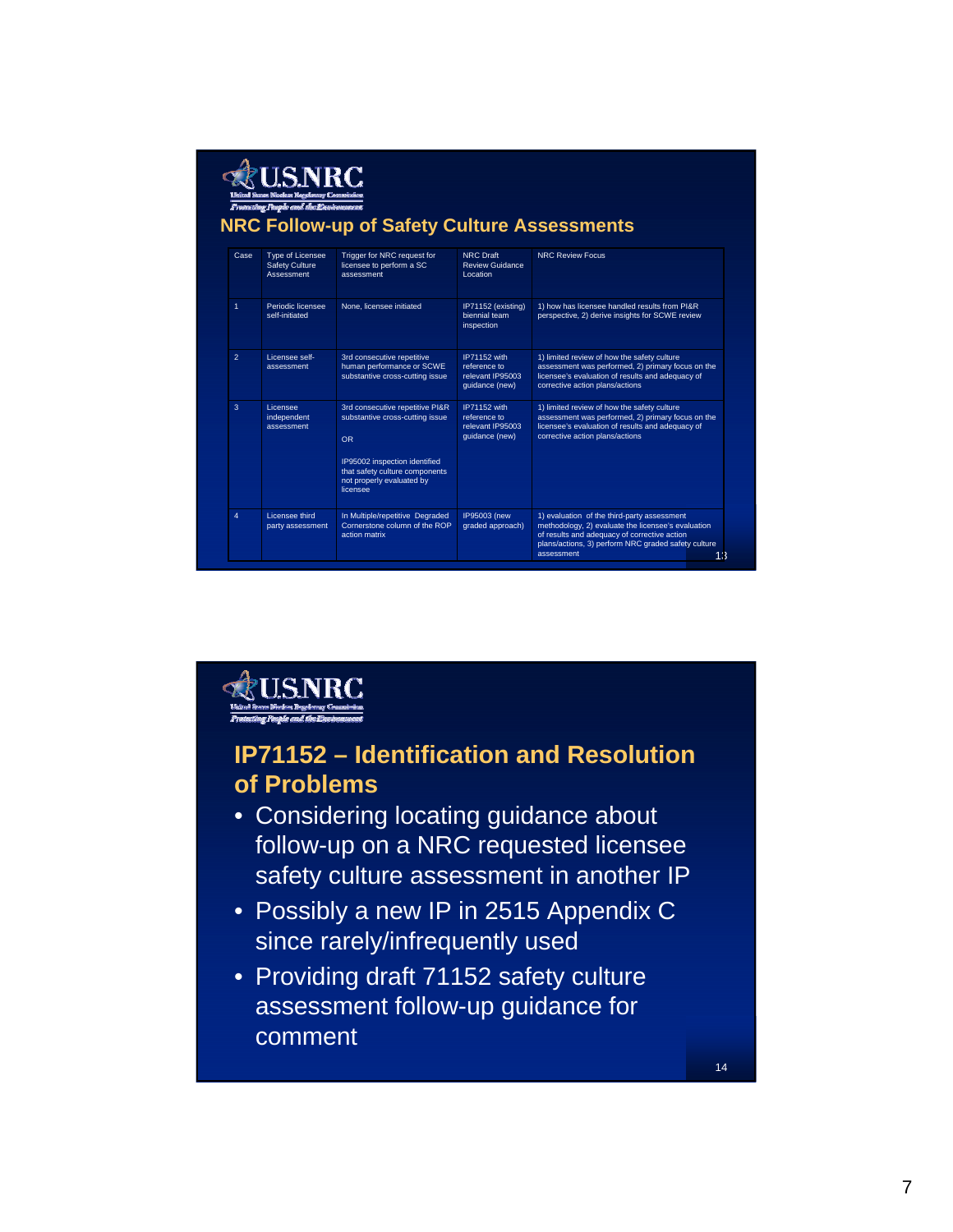| Case           | Type of Licensee<br><b>Safety Culture</b><br>Assessment | Trigger for NRC request for<br>licensee to perform a SC<br>assessment                                                                                                                            | <b>NRC Draft</b><br><b>Review Guidance</b><br>Location             | <b>NRC Review Focus</b>                                                                                                                                                                 |
|----------------|---------------------------------------------------------|--------------------------------------------------------------------------------------------------------------------------------------------------------------------------------------------------|--------------------------------------------------------------------|-----------------------------------------------------------------------------------------------------------------------------------------------------------------------------------------|
| $\mathbf{1}$   | Periodic licensee<br>self-initiated                     | None, licensee initiated                                                                                                                                                                         | IP71152 (existing)<br>biennial team<br>inspection                  | 1) how has licensee handled results from PI&R<br>perspective, 2) derive insights for SCWE review                                                                                        |
| $\overline{2}$ | Licensee self-<br>assessment                            | 3rd consecutive repetitive<br>human performance or SCWE<br>substantive cross-cutting issue                                                                                                       | IP71152 with<br>reference to<br>relevant IP95003<br>quidance (new) | 1) limited review of how the safety culture<br>assessment was performed, 2) primary focus on the<br>licensee's evaluation of results and adequacy of<br>corrective action plans/actions |
| 3              | Licensee<br>independent<br>assessment                   | 3rd consecutive repetitive PI&R<br>substantive cross-cutting issue<br>O <sub>R</sub><br>IP95002 inspection identified<br>that safety culture components<br>not properly evaluated by<br>licensee | IP71152 with<br>reference to<br>relevant IP95003<br>quidance (new) | 1) limited review of how the safety culture<br>assessment was performed, 2) primary focus on the<br>licensee's evaluation of results and adequacy of<br>corrective action plans/actions |



#### **IP71152 – Identification and Resolution of Problems**

- Considering locating guidance about follow-up on a NRC requested licensee safety culture assessment in another IP
- Possibly a new IP in 2515 Appendix C since rarely/infrequently used
- Providing draft 71152 safety culture assessment follow-up guidance for comment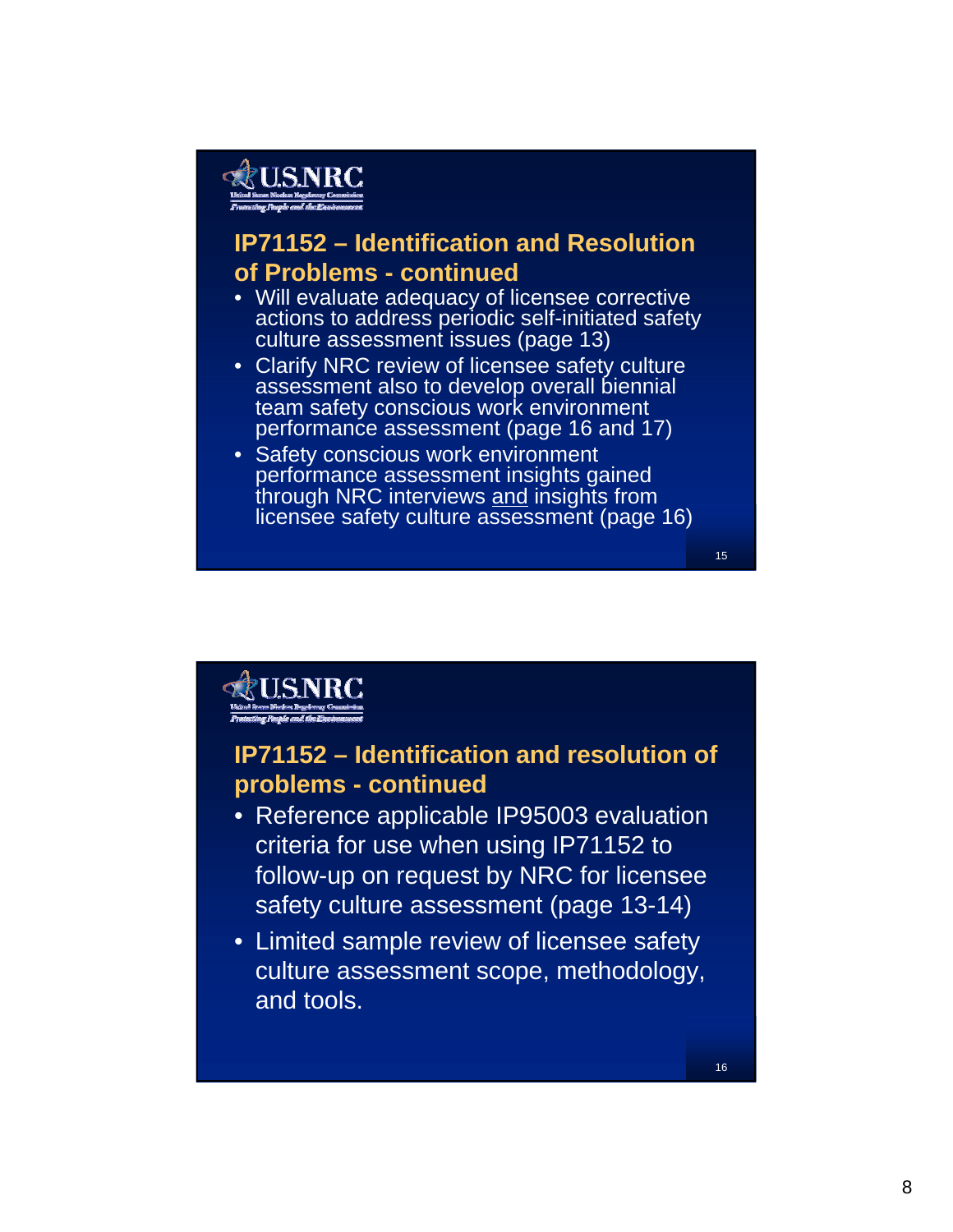#### **IP71152 – Identification and Resolution of Problems - continued**

- Will evaluate adequacy of licensee corrective actions to address periodic self-initiated safety culture assessment issues (page 13)
- Clarify NRC review of licensee safety culture assessment also to develop overall biennial team safety conscious work environment performance assessment (page 16 and 17)
- Safety conscious work environment performance assessment insights gained through NRC interviews and insights from licensee safety culture assessment (page 16)



#### **IP71152 – Identification and resolution of problems - continued**

- Reference applicable IP95003 evaluation criteria for use when using IP71152 to follow-up on request by NRC for licensee safety culture assessment (page 13-14)
- Limited sample review of licensee safety culture assessment scope, methodology, and tools.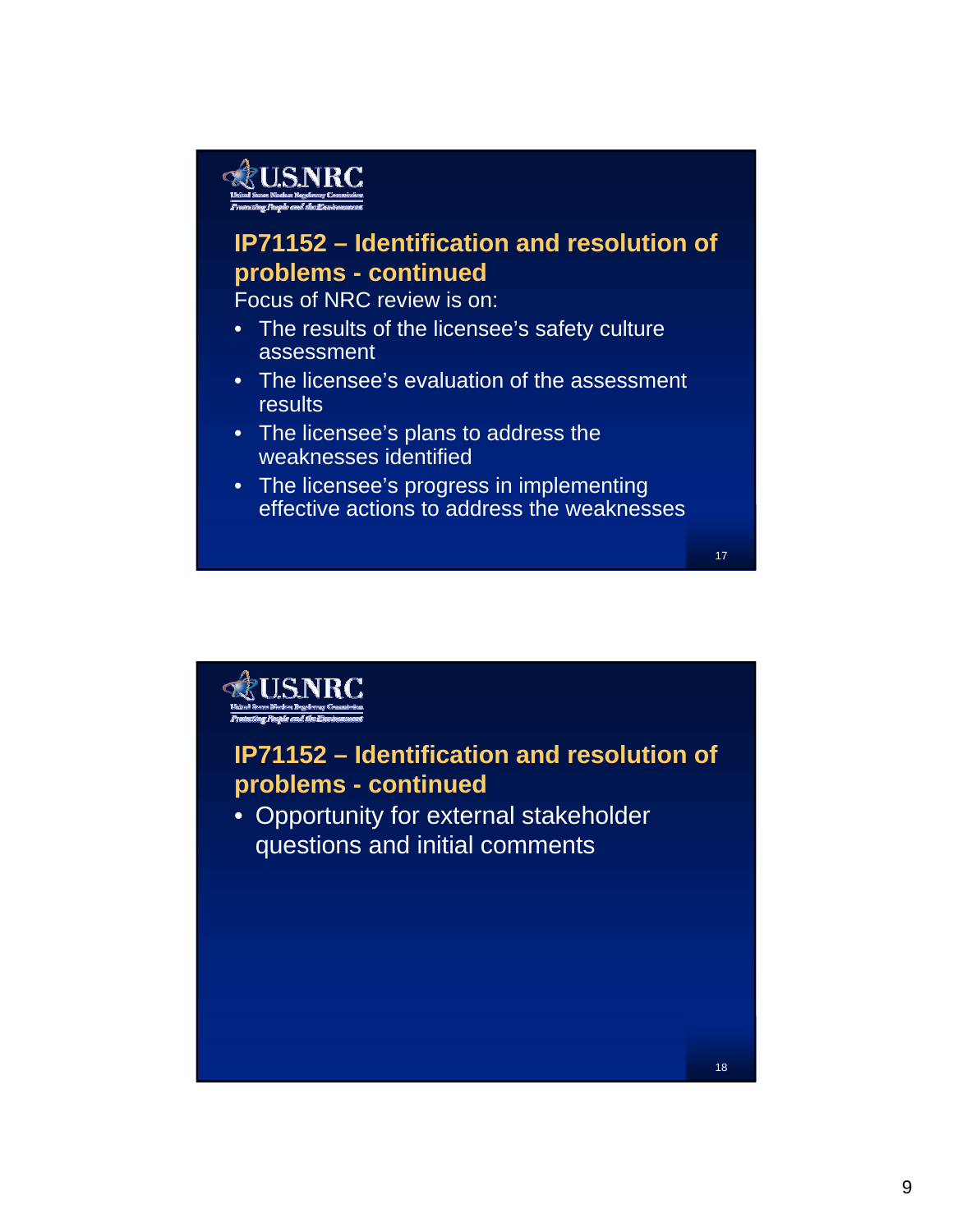## **&U.S.NRC**

#### **IP71152 – Identification and resolution of problems - continued**

Focus of NRC review is on:

- The results of the licensee's safety culture assessment
- The licensee's evaluation of the assessment **results**
- The licensee's plans to address the weaknesses identified
- The licensee's progress in implementing effective actions to address the weaknesses

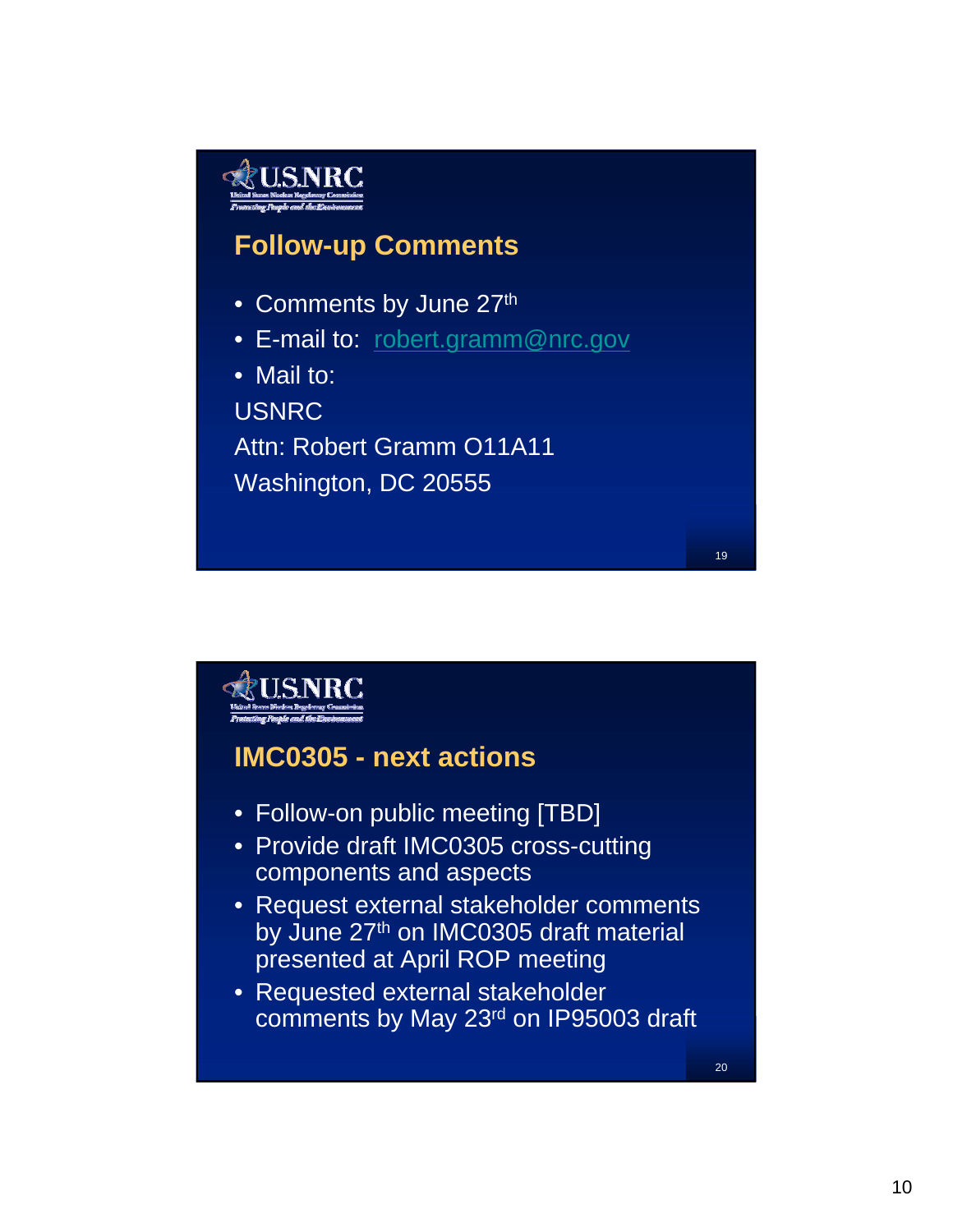### **Follow-up Comments**

- Comments by June 27th
- E-mail to: robert.gramm@nrc.gov
- Mail to:

USNRC

Attn: Robert Gramm O11A11 Washington, DC 20555

**USNRC IMC0305 - next actions**  • Follow-on public meeting [TBD] • Provide draft IMC0305 cross-cutting components and aspects • Request external stakeholder comments by June 27<sup>th</sup> on IMC0305 draft material presented at April ROP meeting • Requested external stakeholder comments by May 23rd on IP95003 draft20